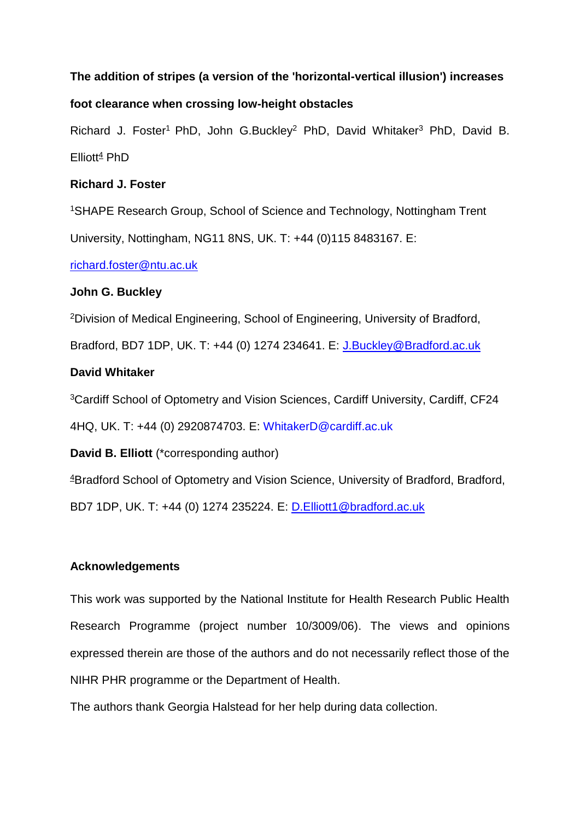## **The addition of stripes (a version of the 'horizontal-vertical illusion') increases**

## **foot clearance when crossing low-height obstacles**

Richard J. Foster<sup>1</sup> PhD, John G.Buckley<sup>2</sup> PhD, David Whitaker<sup>3</sup> PhD, David B.  $Elliott<sup>4</sup>$  PhD

## **Richard J. Foster**

<sup>1</sup>SHAPE Research Group, School of Science and Technology, Nottingham Trent University, Nottingham, NG11 8NS, UK. T: +44 (0)115 8483167. E:

[richard.foster@ntu.ac.uk](mailto:richard.foster@ntu.ac.uk)

## **John G. Buckley**

<sup>2</sup>Division of Medical Engineering, School of Engineering, University of Bradford,

Bradford, BD7 1DP, UK. T: +44 (0) 1274 234641. E: [J.Buckley@Bradford.ac.uk](mailto:J.Buckley@Bradford.ac.uk)

# **David Whitaker**

<sup>3</sup>Cardiff School of Optometry and Vision Sciences, Cardiff University, Cardiff, CF24 4HQ, UK. T: +44 (0) 2920874703. E: [WhitakerD@cardiff.ac.uk](mailto:WhitakerD@cardiff.ac.uk)

**David B. Elliott** (\*corresponding author)

<sup>4</sup>Bradford School of Optometry and Vision Science, University of Bradford, Bradford,

BD7 1DP, UK. T: +44 (0) 1274 235224. E: [D.Elliott1@bradford.ac.uk](mailto:D.Elliott1@bradford.ac.uk)

# **Acknowledgements**

This work was supported by the National Institute for Health Research Public Health Research Programme (project number 10/3009/06). The views and opinions expressed therein are those of the authors and do not necessarily reflect those of the NIHR PHR programme or the Department of Health.

The authors thank Georgia Halstead for her help during data collection.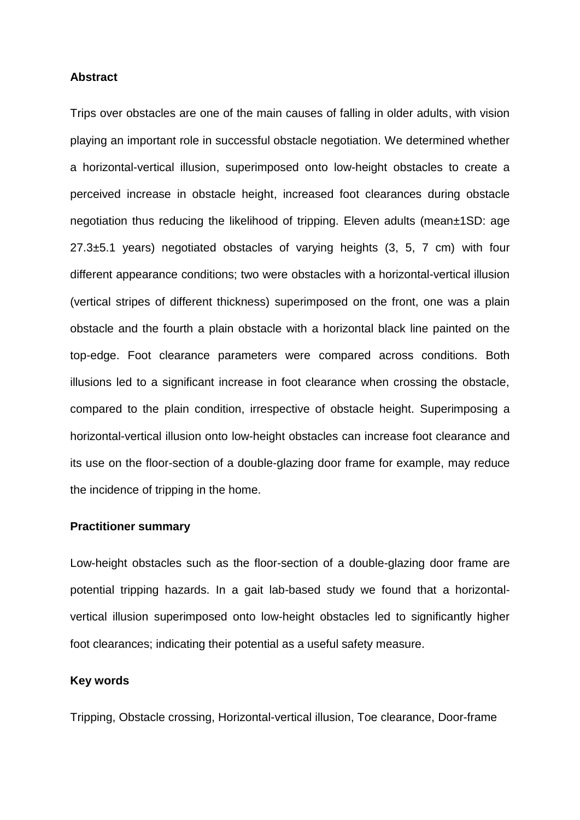#### **Abstract**

Trips over obstacles are one of the main causes of falling in older adults, with vision playing an important role in successful obstacle negotiation. We determined whether a horizontal-vertical illusion, superimposed onto low-height obstacles to create a perceived increase in obstacle height, increased foot clearances during obstacle negotiation thus reducing the likelihood of tripping. Eleven adults (mean±1SD: age 27.3±5.1 years) negotiated obstacles of varying heights (3, 5, 7 cm) with four different appearance conditions; two were obstacles with a horizontal-vertical illusion (vertical stripes of different thickness) superimposed on the front, one was a plain obstacle and the fourth a plain obstacle with a horizontal black line painted on the top-edge. Foot clearance parameters were compared across conditions. Both illusions led to a significant increase in foot clearance when crossing the obstacle, compared to the plain condition, irrespective of obstacle height. Superimposing a horizontal-vertical illusion onto low-height obstacles can increase foot clearance and its use on the floor-section of a double-glazing door frame for example, may reduce the incidence of tripping in the home.

### **Practitioner summary**

Low-height obstacles such as the floor-section of a double-glazing door frame are potential tripping hazards. In a gait lab-based study we found that a horizontalvertical illusion superimposed onto low-height obstacles led to significantly higher foot clearances; indicating their potential as a useful safety measure.

### **Key words**

Tripping, Obstacle crossing, Horizontal-vertical illusion, Toe clearance, Door-frame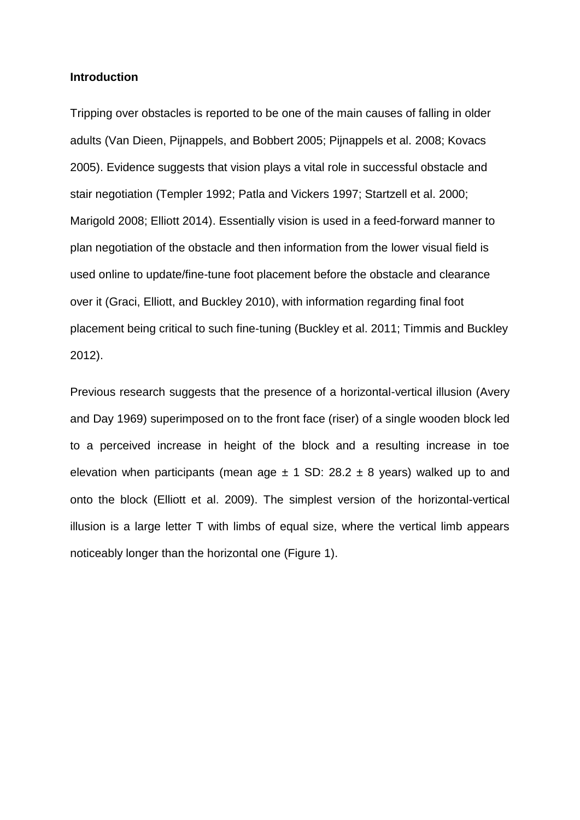### **Introduction**

Tripping over obstacles is reported to be one of the main causes of falling in older adults (Van Dieen, Pijnappels, and Bobbert 2005; Pijnappels et al. 2008; Kovacs 2005). Evidence suggests that vision plays a vital role in successful obstacle and stair negotiation (Templer 1992; Patla and Vickers 1997; Startzell et al. 2000; Marigold 2008; Elliott 2014). Essentially vision is used in a feed-forward manner to plan negotiation of the obstacle and then information from the lower visual field is used online to update/fine-tune foot placement before the obstacle and clearance over it (Graci, Elliott, and Buckley 2010), with information regarding final foot placement being critical to such fine-tuning (Buckley et al. 2011; Timmis and Buckley 2012).

Previous research suggests that the presence of a horizontal-vertical illusion (Avery and Day 1969) superimposed on to the front face (riser) of a single wooden block led to a perceived increase in height of the block and a resulting increase in toe elevation when participants (mean age  $\pm$  1 SD: 28.2  $\pm$  8 years) walked up to and onto the block (Elliott et al. 2009). The simplest version of the horizontal-vertical illusion is a large letter T with limbs of equal size, where the vertical limb appears noticeably longer than the horizontal one (Figure 1).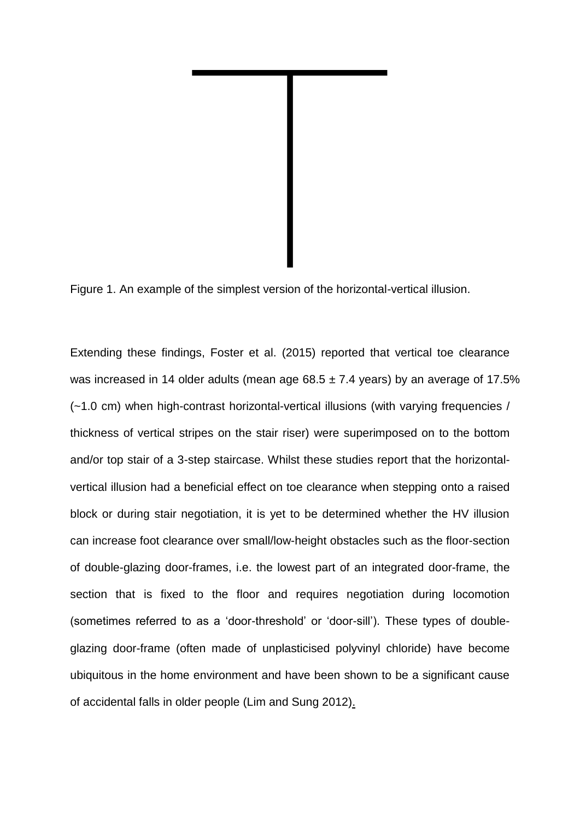

Figure 1. An example of the simplest version of the horizontal-vertical illusion.

Extending these findings, Foster et al. (2015) reported that vertical toe clearance was increased in 14 older adults (mean age  $68.5 \pm 7.4$  years) by an average of 17.5% (~1.0 cm) when high-contrast horizontal-vertical illusions (with varying frequencies / thickness of vertical stripes on the stair riser) were superimposed on to the bottom and/or top stair of a 3-step staircase. Whilst these studies report that the horizontalvertical illusion had a beneficial effect on toe clearance when stepping onto a raised block or during stair negotiation, it is yet to be determined whether the HV illusion can increase foot clearance over small/low-height obstacles such as the floor-section of double-glazing door-frames, i.e. the lowest part of an integrated door-frame, the section that is fixed to the floor and requires negotiation during locomotion (sometimes referred to as a 'door-threshold' or 'door-sill'). These types of doubleglazing door-frame (often made of unplasticised polyvinyl chloride) have become ubiquitous in the home environment and have been shown to be a significant cause of accidental falls in older people (Lim and Sung 2012).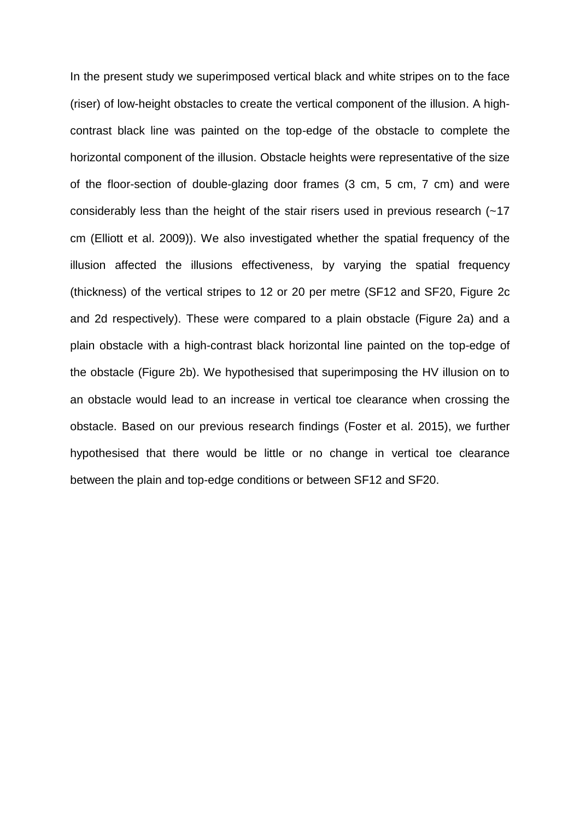In the present study we superimposed vertical black and white stripes on to the face (riser) of low-height obstacles to create the vertical component of the illusion. A highcontrast black line was painted on the top-edge of the obstacle to complete the horizontal component of the illusion. Obstacle heights were representative of the size of the floor-section of double-glazing door frames (3 cm, 5 cm, 7 cm) and were considerably less than the height of the stair risers used in previous research (~17 cm (Elliott et al. 2009)). We also investigated whether the spatial frequency of the illusion affected the illusions effectiveness, by varying the spatial frequency (thickness) of the vertical stripes to 12 or 20 per metre (SF12 and SF20, Figure 2c and 2d respectively). These were compared to a plain obstacle (Figure 2a) and a plain obstacle with a high-contrast black horizontal line painted on the top-edge of the obstacle (Figure 2b). We hypothesised that superimposing the HV illusion on to an obstacle would lead to an increase in vertical toe clearance when crossing the obstacle. Based on our previous research findings (Foster et al. 2015), we further hypothesised that there would be little or no change in vertical toe clearance between the plain and top-edge conditions or between SF12 and SF20.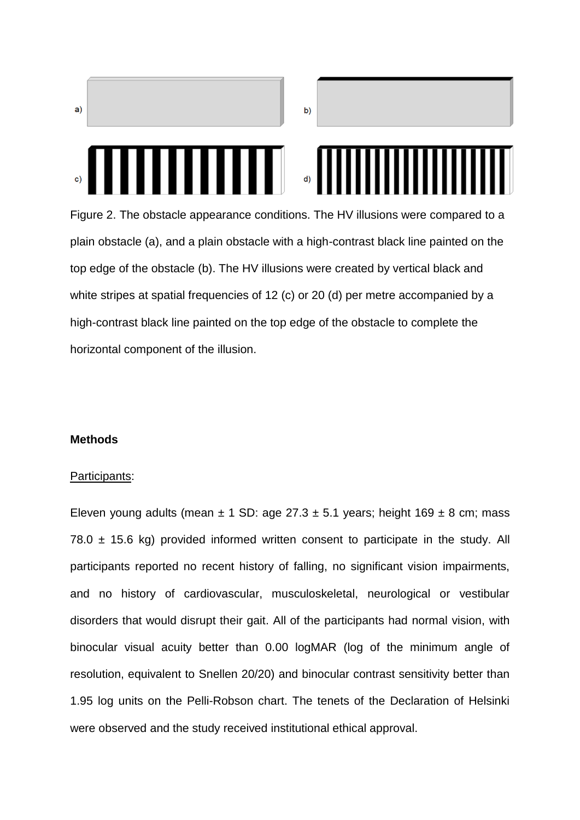

Figure 2. The obstacle appearance conditions. The HV illusions were compared to a plain obstacle (a), and a plain obstacle with a high-contrast black line painted on the top edge of the obstacle (b). The HV illusions were created by vertical black and white stripes at spatial frequencies of 12 (c) or 20 (d) per metre accompanied by a high-contrast black line painted on the top edge of the obstacle to complete the horizontal component of the illusion.

#### **Methods**

#### Participants:

Eleven young adults (mean  $\pm$  1 SD: age 27.3  $\pm$  5.1 years; height 169  $\pm$  8 cm; mass 78.0  $\pm$  15.6 kg) provided informed written consent to participate in the study. All participants reported no recent history of falling, no significant vision impairments, and no history of cardiovascular, musculoskeletal, neurological or vestibular disorders that would disrupt their gait. All of the participants had normal vision, with binocular visual acuity better than 0.00 logMAR (log of the minimum angle of resolution, equivalent to Snellen 20/20) and binocular contrast sensitivity better than 1.95 log units on the Pelli-Robson chart. The tenets of the Declaration of Helsinki were observed and the study received institutional ethical approval.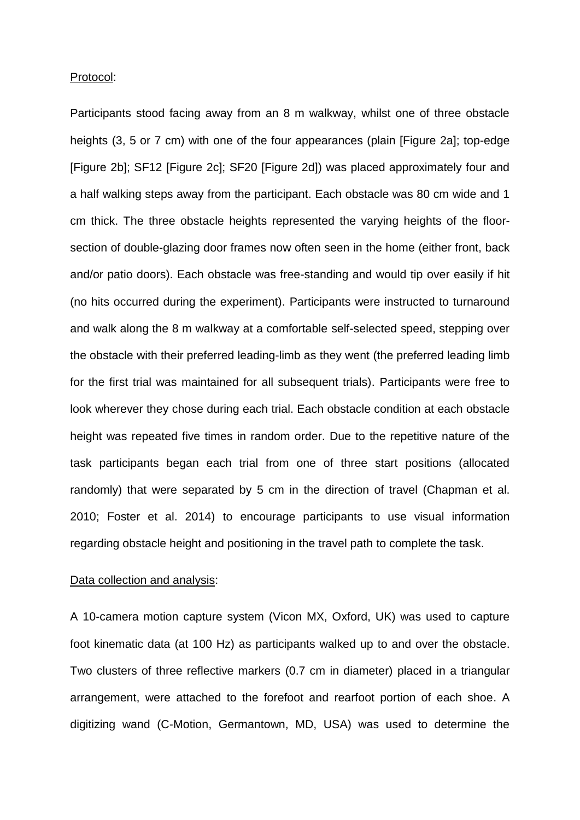#### Protocol:

Participants stood facing away from an 8 m walkway, whilst one of three obstacle heights (3, 5 or 7 cm) with one of the four appearances (plain [Figure 2a]; top-edge [Figure 2b]; SF12 [Figure 2c]; SF20 [Figure 2d]) was placed approximately four and a half walking steps away from the participant. Each obstacle was 80 cm wide and 1 cm thick. The three obstacle heights represented the varying heights of the floorsection of double-glazing door frames now often seen in the home (either front, back and/or patio doors). Each obstacle was free-standing and would tip over easily if hit (no hits occurred during the experiment). Participants were instructed to turnaround and walk along the 8 m walkway at a comfortable self-selected speed, stepping over the obstacle with their preferred leading-limb as they went (the preferred leading limb for the first trial was maintained for all subsequent trials). Participants were free to look wherever they chose during each trial. Each obstacle condition at each obstacle height was repeated five times in random order. Due to the repetitive nature of the task participants began each trial from one of three start positions (allocated randomly) that were separated by 5 cm in the direction of travel (Chapman et al. 2010; Foster et al. 2014) to encourage participants to use visual information regarding obstacle height and positioning in the travel path to complete the task.

### Data collection and analysis:

A 10-camera motion capture system (Vicon MX, Oxford, UK) was used to capture foot kinematic data (at 100 Hz) as participants walked up to and over the obstacle. Two clusters of three reflective markers (0.7 cm in diameter) placed in a triangular arrangement, were attached to the forefoot and rearfoot portion of each shoe. A digitizing wand (C-Motion, Germantown, MD, USA) was used to determine the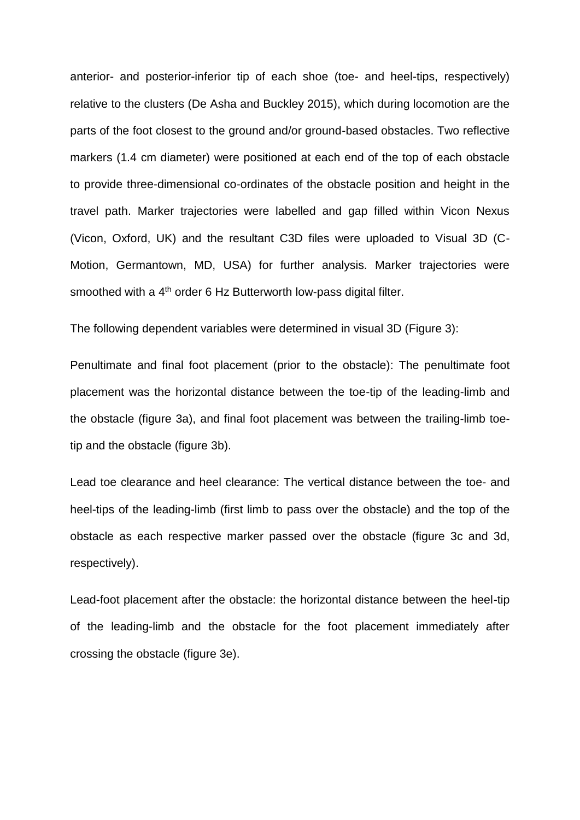anterior- and posterior-inferior tip of each shoe (toe- and heel-tips, respectively) relative to the clusters (De Asha and Buckley 2015), which during locomotion are the parts of the foot closest to the ground and/or ground-based obstacles. Two reflective markers (1.4 cm diameter) were positioned at each end of the top of each obstacle to provide three-dimensional co-ordinates of the obstacle position and height in the travel path. Marker trajectories were labelled and gap filled within Vicon Nexus (Vicon, Oxford, UK) and the resultant C3D files were uploaded to Visual 3D (C-Motion, Germantown, MD, USA) for further analysis. Marker trajectories were smoothed with a 4<sup>th</sup> order 6 Hz Butterworth low-pass digital filter.

The following dependent variables were determined in visual 3D (Figure 3):

Penultimate and final foot placement (prior to the obstacle): The penultimate foot placement was the horizontal distance between the toe-tip of the leading-limb and the obstacle (figure 3a), and final foot placement was between the trailing-limb toetip and the obstacle (figure 3b).

Lead toe clearance and heel clearance: The vertical distance between the toe- and heel-tips of the leading-limb (first limb to pass over the obstacle) and the top of the obstacle as each respective marker passed over the obstacle (figure 3c and 3d, respectively).

Lead-foot placement after the obstacle: the horizontal distance between the heel-tip of the leading-limb and the obstacle for the foot placement immediately after crossing the obstacle (figure 3e).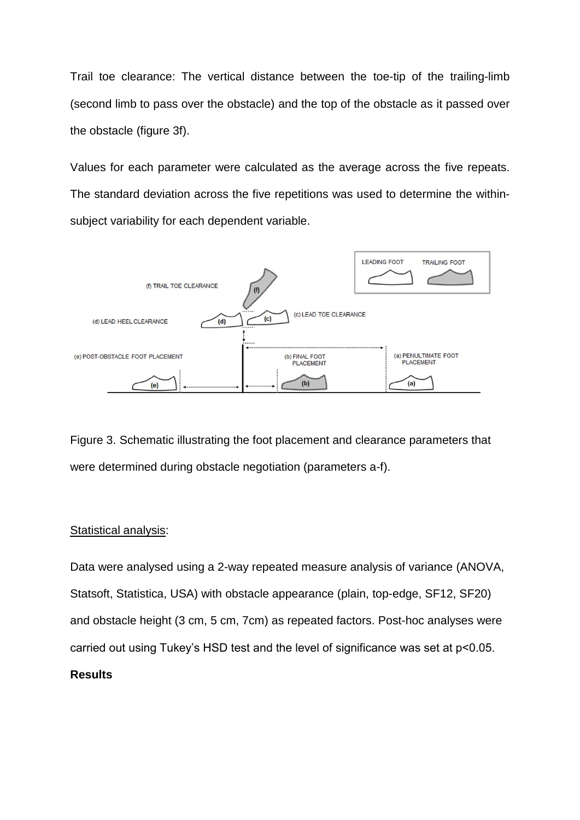Trail toe clearance: The vertical distance between the toe-tip of the trailing-limb (second limb to pass over the obstacle) and the top of the obstacle as it passed over the obstacle (figure 3f).

Values for each parameter were calculated as the average across the five repeats. The standard deviation across the five repetitions was used to determine the withinsubject variability for each dependent variable.



Figure 3. Schematic illustrating the foot placement and clearance parameters that were determined during obstacle negotiation (parameters a-f).

### Statistical analysis:

Data were analysed using a 2-way repeated measure analysis of variance (ANOVA, Statsoft, Statistica, USA) with obstacle appearance (plain, top-edge, SF12, SF20) and obstacle height (3 cm, 5 cm, 7cm) as repeated factors. Post-hoc analyses were carried out using Tukey's HSD test and the level of significance was set at p<0.05. **Results**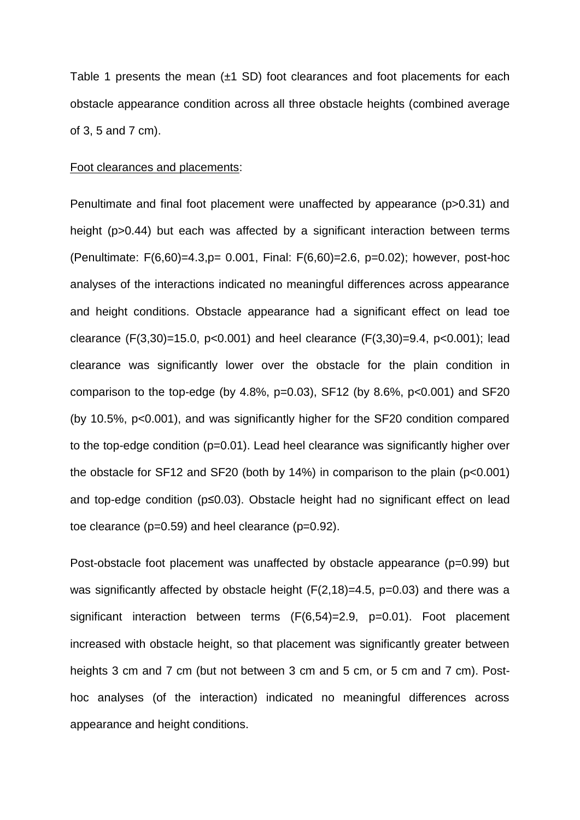Table 1 presents the mean  $(\pm 1$  SD) foot clearances and foot placements for each obstacle appearance condition across all three obstacle heights (combined average of 3, 5 and 7 cm).

#### Foot clearances and placements:

Penultimate and final foot placement were unaffected by appearance (p>0.31) and height (p>0.44) but each was affected by a significant interaction between terms (Penultimate: F(6,60)=4.3,p= 0.001, Final: F(6,60)=2.6, p=0.02); however, post-hoc analyses of the interactions indicated no meaningful differences across appearance and height conditions. Obstacle appearance had a significant effect on lead toe clearance (F(3,30)=15.0, p<0.001) and heel clearance (F(3,30)=9.4, p<0.001); lead clearance was significantly lower over the obstacle for the plain condition in comparison to the top-edge (by 4.8%,  $p=0.03$ ), SF12 (by 8.6%,  $p<0.001$ ) and SF20 (by 10.5%, p<0.001), and was significantly higher for the SF20 condition compared to the top-edge condition (p=0.01). Lead heel clearance was significantly higher over the obstacle for SF12 and SF20 (both by 14%) in comparison to the plain (p<0.001) and top-edge condition (p≤0.03). Obstacle height had no significant effect on lead toe clearance (p=0.59) and heel clearance (p=0.92).

Post-obstacle foot placement was unaffected by obstacle appearance (p=0.99) but was significantly affected by obstacle height  $(F(2,18)=4.5, p=0.03)$  and there was a significant interaction between terms (F(6,54)=2.9, p=0.01). Foot placement increased with obstacle height, so that placement was significantly greater between heights 3 cm and 7 cm (but not between 3 cm and 5 cm, or 5 cm and 7 cm). Posthoc analyses (of the interaction) indicated no meaningful differences across appearance and height conditions.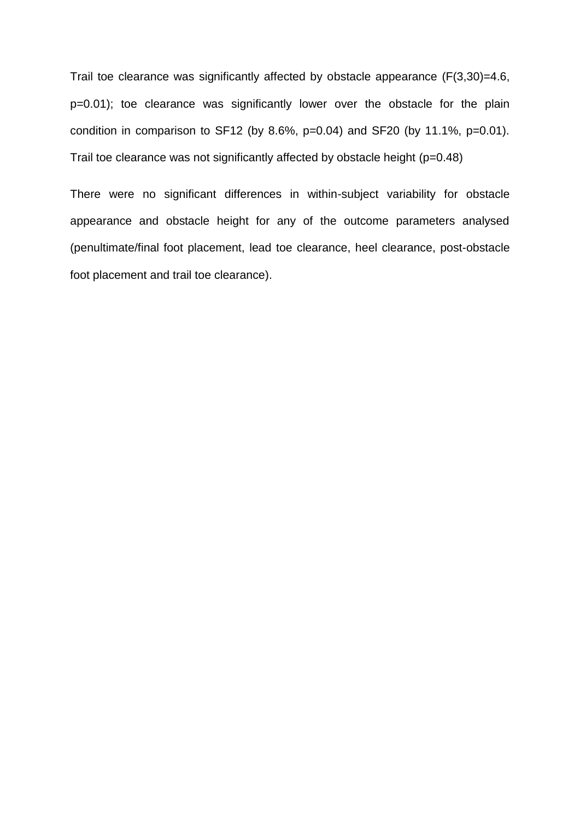Trail toe clearance was significantly affected by obstacle appearance (F(3,30)=4.6, p=0.01); toe clearance was significantly lower over the obstacle for the plain condition in comparison to SF12 (by 8.6%,  $p=0.04$ ) and SF20 (by 11.1%,  $p=0.01$ ). Trail toe clearance was not significantly affected by obstacle height (p=0.48)

There were no significant differences in within-subject variability for obstacle appearance and obstacle height for any of the outcome parameters analysed (penultimate/final foot placement, lead toe clearance, heel clearance, post-obstacle foot placement and trail toe clearance).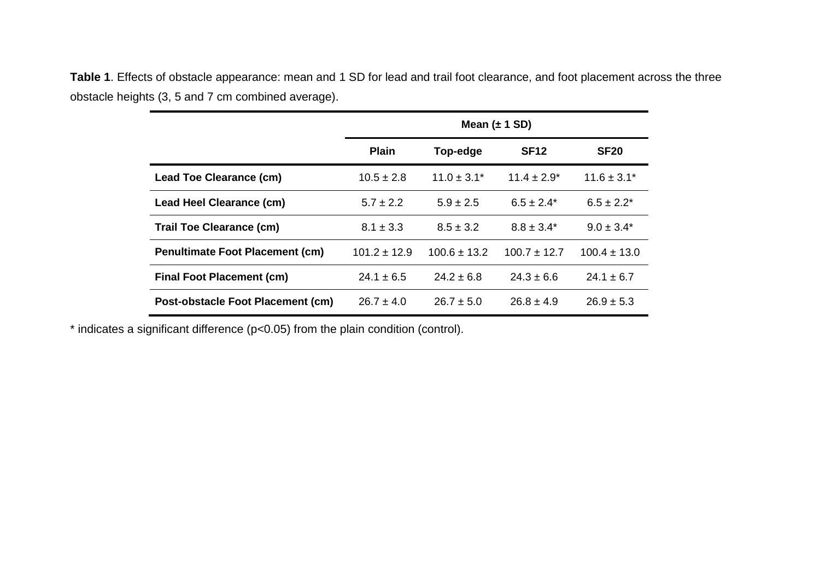**Table 1**. Effects of obstacle appearance: mean and 1 SD for lead and trail foot clearance, and foot placement across the three obstacle heights (3, 5 and 7 cm combined average).

|                                        | Mean $(\pm 1$ SD) |                  |                  |                  |
|----------------------------------------|-------------------|------------------|------------------|------------------|
|                                        | <b>Plain</b>      | Top-edge         | <b>SF12</b>      | <b>SF20</b>      |
| Lead Toe Clearance (cm)                | $10.5 \pm 2.8$    | $11.0 \pm 3.1^*$ | $11.4 \pm 2.9^*$ | $11.6 \pm 3.1^*$ |
| Lead Heel Clearance (cm)               | $5.7 \pm 2.2$     | $5.9 \pm 2.5$    | $6.5 \pm 2.4^*$  | $6.5 \pm 2.2^*$  |
| <b>Trail Toe Clearance (cm)</b>        | $8.1 \pm 3.3$     | $8.5 \pm 3.2$    | $8.8 \pm 3.4^*$  | $9.0 \pm 3.4^*$  |
| <b>Penultimate Foot Placement (cm)</b> | $101.2 \pm 12.9$  | $100.6 \pm 13.2$ | $100.7 \pm 12.7$ | $100.4 \pm 13.0$ |
| <b>Final Foot Placement (cm)</b>       | $24.1 \pm 6.5$    | $24.2 \pm 6.8$   | $24.3 \pm 6.6$   | $24.1 \pm 6.7$   |
| Post-obstacle Foot Placement (cm)      | $26.7 \pm 4.0$    | $26.7 \pm 5.0$   | $26.8 \pm 4.9$   | $26.9 \pm 5.3$   |

\* indicates a significant difference (p<0.05) from the plain condition (control).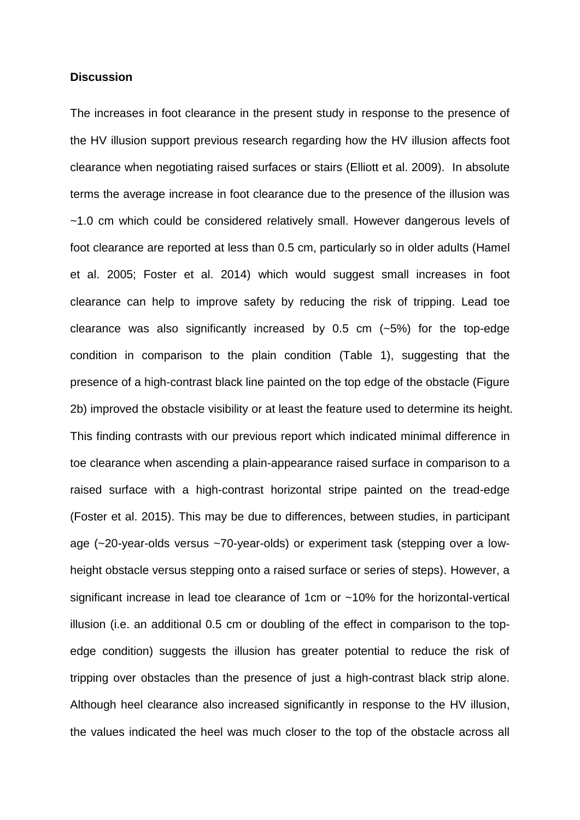### **Discussion**

The increases in foot clearance in the present study in response to the presence of the HV illusion support previous research regarding how the HV illusion affects foot clearance when negotiating raised surfaces or stairs (Elliott et al. 2009). In absolute terms the average increase in foot clearance due to the presence of the illusion was ~1.0 cm which could be considered relatively small. However dangerous levels of foot clearance are reported at less than 0.5 cm, particularly so in older adults (Hamel et al. 2005; Foster et al. 2014) which would suggest small increases in foot clearance can help to improve safety by reducing the risk of tripping. Lead toe clearance was also significantly increased by 0.5 cm (~5%) for the top-edge condition in comparison to the plain condition (Table 1), suggesting that the presence of a high-contrast black line painted on the top edge of the obstacle (Figure 2b) improved the obstacle visibility or at least the feature used to determine its height. This finding contrasts with our previous report which indicated minimal difference in toe clearance when ascending a plain-appearance raised surface in comparison to a raised surface with a high-contrast horizontal stripe painted on the tread-edge (Foster et al. 2015). This may be due to differences, between studies, in participant age (~20-year-olds versus ~70-year-olds) or experiment task (stepping over a lowheight obstacle versus stepping onto a raised surface or series of steps). However, a significant increase in lead toe clearance of 1cm or ~10% for the horizontal-vertical illusion (i.e. an additional 0.5 cm or doubling of the effect in comparison to the topedge condition) suggests the illusion has greater potential to reduce the risk of tripping over obstacles than the presence of just a high-contrast black strip alone. Although heel clearance also increased significantly in response to the HV illusion, the values indicated the heel was much closer to the top of the obstacle across all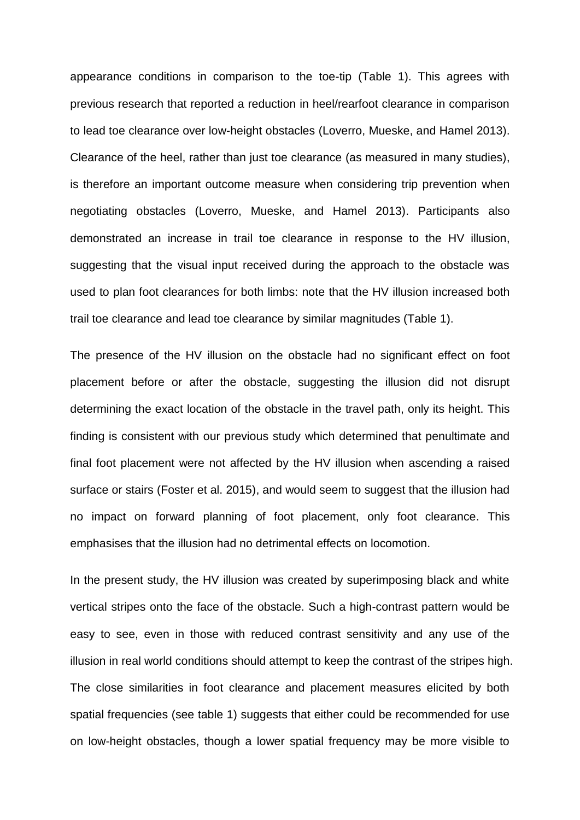appearance conditions in comparison to the toe-tip (Table 1). This agrees with previous research that reported a reduction in heel/rearfoot clearance in comparison to lead toe clearance over low-height obstacles (Loverro, Mueske, and Hamel 2013). Clearance of the heel, rather than just toe clearance (as measured in many studies), is therefore an important outcome measure when considering trip prevention when negotiating obstacles (Loverro, Mueske, and Hamel 2013). Participants also demonstrated an increase in trail toe clearance in response to the HV illusion, suggesting that the visual input received during the approach to the obstacle was used to plan foot clearances for both limbs: note that the HV illusion increased both trail toe clearance and lead toe clearance by similar magnitudes (Table 1).

The presence of the HV illusion on the obstacle had no significant effect on foot placement before or after the obstacle, suggesting the illusion did not disrupt determining the exact location of the obstacle in the travel path, only its height. This finding is consistent with our previous study which determined that penultimate and final foot placement were not affected by the HV illusion when ascending a raised surface or stairs (Foster et al. 2015), and would seem to suggest that the illusion had no impact on forward planning of foot placement, only foot clearance. This emphasises that the illusion had no detrimental effects on locomotion.

In the present study, the HV illusion was created by superimposing black and white vertical stripes onto the face of the obstacle. Such a high-contrast pattern would be easy to see, even in those with reduced contrast sensitivity and any use of the illusion in real world conditions should attempt to keep the contrast of the stripes high. The close similarities in foot clearance and placement measures elicited by both spatial frequencies (see table 1) suggests that either could be recommended for use on low-height obstacles, though a lower spatial frequency may be more visible to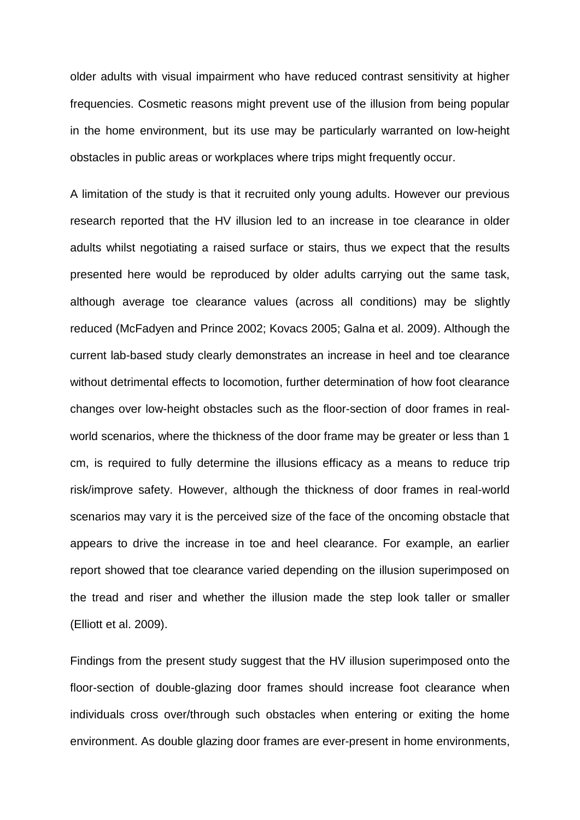older adults with visual impairment who have reduced contrast sensitivity at higher frequencies. Cosmetic reasons might prevent use of the illusion from being popular in the home environment, but its use may be particularly warranted on low-height obstacles in public areas or workplaces where trips might frequently occur.

A limitation of the study is that it recruited only young adults. However our previous research reported that the HV illusion led to an increase in toe clearance in older adults whilst negotiating a raised surface or stairs, thus we expect that the results presented here would be reproduced by older adults carrying out the same task, although average toe clearance values (across all conditions) may be slightly reduced (McFadyen and Prince 2002; Kovacs 2005; Galna et al. 2009). Although the current lab-based study clearly demonstrates an increase in heel and toe clearance without detrimental effects to locomotion, further determination of how foot clearance changes over low-height obstacles such as the floor-section of door frames in realworld scenarios, where the thickness of the door frame may be greater or less than 1 cm, is required to fully determine the illusions efficacy as a means to reduce trip risk/improve safety. However, although the thickness of door frames in real-world scenarios may vary it is the perceived size of the face of the oncoming obstacle that appears to drive the increase in toe and heel clearance. For example, an earlier report showed that toe clearance varied depending on the illusion superimposed on the tread and riser and whether the illusion made the step look taller or smaller (Elliott et al. 2009).

Findings from the present study suggest that the HV illusion superimposed onto the floor-section of double-glazing door frames should increase foot clearance when individuals cross over/through such obstacles when entering or exiting the home environment. As double glazing door frames are ever-present in home environments,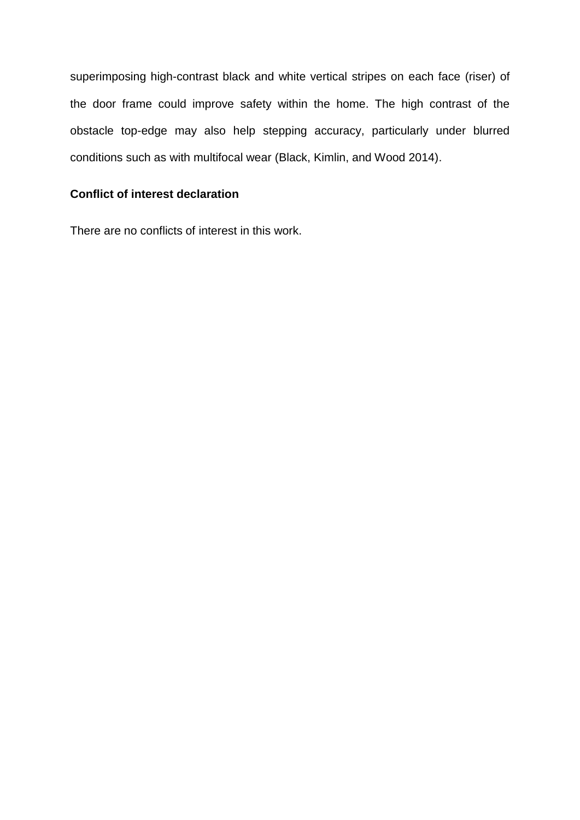superimposing high-contrast black and white vertical stripes on each face (riser) of the door frame could improve safety within the home. The high contrast of the obstacle top-edge may also help stepping accuracy, particularly under blurred conditions such as with multifocal wear (Black, Kimlin, and Wood 2014).

# **Conflict of interest declaration**

There are no conflicts of interest in this work.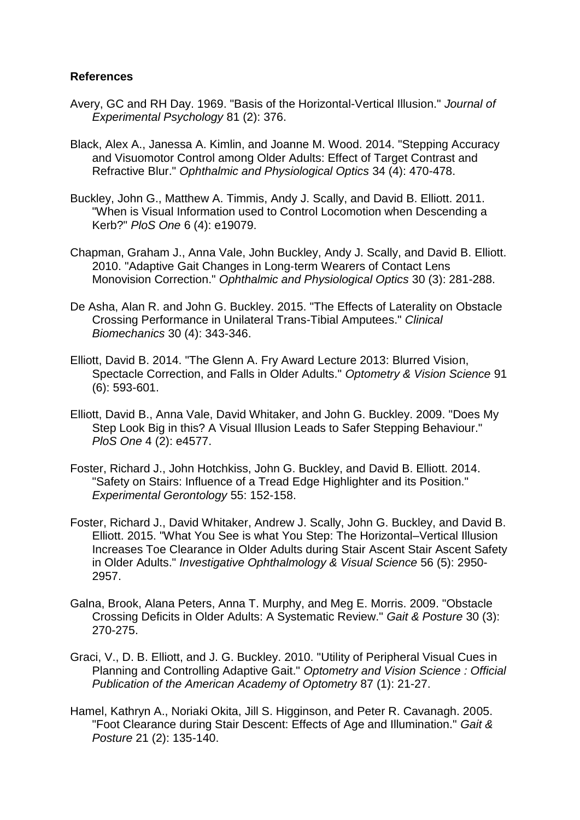### **References**

- Avery, GC and RH Day. 1969. "Basis of the Horizontal-Vertical Illusion." *Journal of Experimental Psychology* 81 (2): 376.
- Black, Alex A., Janessa A. Kimlin, and Joanne M. Wood. 2014. "Stepping Accuracy and Visuomotor Control among Older Adults: Effect of Target Contrast and Refractive Blur." *Ophthalmic and Physiological Optics* 34 (4): 470-478.
- Buckley, John G., Matthew A. Timmis, Andy J. Scally, and David B. Elliott. 2011. "When is Visual Information used to Control Locomotion when Descending a Kerb?" *PloS One* 6 (4): e19079.
- Chapman, Graham J., Anna Vale, John Buckley, Andy J. Scally, and David B. Elliott. 2010. "Adaptive Gait Changes in Long‐term Wearers of Contact Lens Monovision Correction." *Ophthalmic and Physiological Optics* 30 (3): 281-288.
- De Asha, Alan R. and John G. Buckley. 2015. "The Effects of Laterality on Obstacle Crossing Performance in Unilateral Trans-Tibial Amputees." *Clinical Biomechanics* 30 (4): 343-346.
- Elliott, David B. 2014. "The Glenn A. Fry Award Lecture 2013: Blurred Vision, Spectacle Correction, and Falls in Older Adults." *Optometry & Vision Science* 91 (6): 593-601.
- Elliott, David B., Anna Vale, David Whitaker, and John G. Buckley. 2009. "Does My Step Look Big in this? A Visual Illusion Leads to Safer Stepping Behaviour." *PloS One* 4 (2): e4577.
- Foster, Richard J., John Hotchkiss, John G. Buckley, and David B. Elliott. 2014. "Safety on Stairs: Influence of a Tread Edge Highlighter and its Position." *Experimental Gerontology* 55: 152-158.
- Foster, Richard J., David Whitaker, Andrew J. Scally, John G. Buckley, and David B. Elliott. 2015. "What You See is what You Step: The Horizontal–Vertical Illusion Increases Toe Clearance in Older Adults during Stair Ascent Stair Ascent Safety in Older Adults." *Investigative Ophthalmology & Visual Science* 56 (5): 2950- 2957.
- Galna, Brook, Alana Peters, Anna T. Murphy, and Meg E. Morris. 2009. "Obstacle Crossing Deficits in Older Adults: A Systematic Review." *Gait & Posture* 30 (3): 270-275.
- Graci, V., D. B. Elliott, and J. G. Buckley. 2010. "Utility of Peripheral Visual Cues in Planning and Controlling Adaptive Gait." *Optometry and Vision Science : Official Publication of the American Academy of Optometry* 87 (1): 21-27.
- Hamel, Kathryn A., Noriaki Okita, Jill S. Higginson, and Peter R. Cavanagh. 2005. "Foot Clearance during Stair Descent: Effects of Age and Illumination." *Gait & Posture* 21 (2): 135-140.